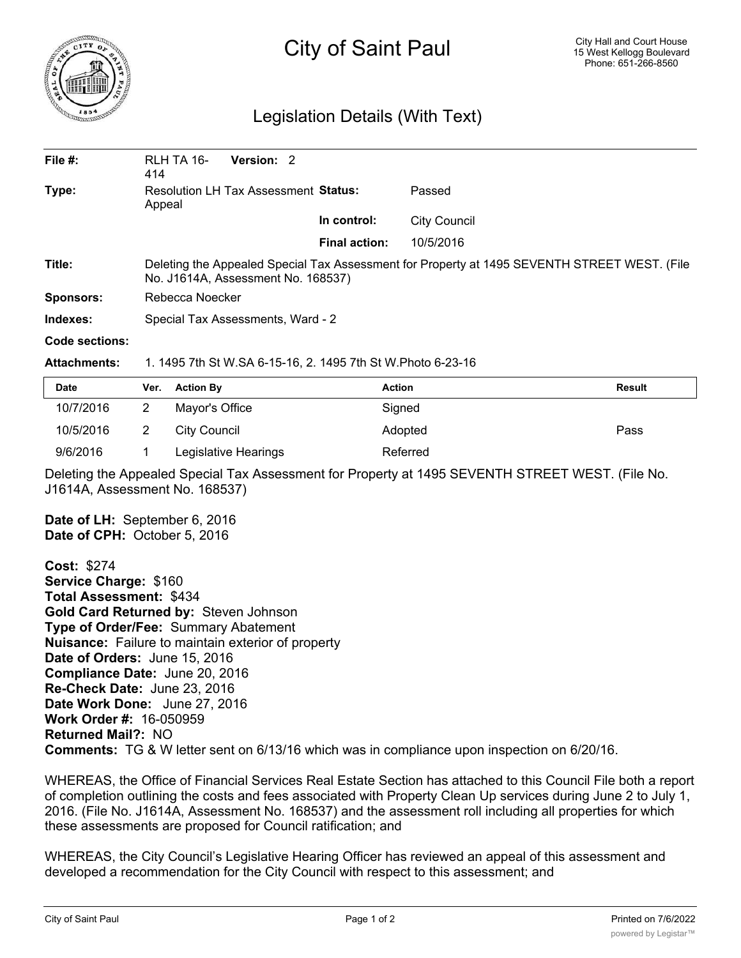

## City of Saint Paul

## Legislation Details (With Text)

| File $#$ :     | RLH TA 16-<br><b>Version: 2</b><br>414                                                                                             |                      |                     |  |  |
|----------------|------------------------------------------------------------------------------------------------------------------------------------|----------------------|---------------------|--|--|
| Type:          | <b>Resolution LH Tax Assessment Status:</b><br>Appeal                                                                              |                      | Passed              |  |  |
|                |                                                                                                                                    | In control:          | <b>City Council</b> |  |  |
|                |                                                                                                                                    | <b>Final action:</b> | 10/5/2016           |  |  |
| Title:         | Deleting the Appealed Special Tax Assessment for Property at 1495 SEVENTH STREET WEST. (File<br>No. J1614A, Assessment No. 168537) |                      |                     |  |  |
| Sponsors:      | Rebecca Noecker                                                                                                                    |                      |                     |  |  |
| Indexes:       | Special Tax Assessments, Ward - 2                                                                                                  |                      |                     |  |  |
| Code sections: |                                                                                                                                    |                      |                     |  |  |

**Attachments:** 1. 1495 7th St W.SA 6-15-16, 2. 1495 7th St W.Photo 6-23-16

| Date      | Ver. | <b>Action By</b>     | <b>Action</b> | Result |
|-----------|------|----------------------|---------------|--------|
| 10/7/2016 |      | Mayor's Office       | Signed        |        |
| 10/5/2016 |      | City Council         | Adopted       | Pass   |
| 9/6/2016  |      | Legislative Hearings | Referred      |        |

Deleting the Appealed Special Tax Assessment for Property at 1495 SEVENTH STREET WEST. (File No. J1614A, Assessment No. 168537)

**Date of LH:** September 6, 2016 **Date of CPH:** October 5, 2016

**Cost:** \$274 **Service Charge:** \$160 **Total Assessment:** \$434 **Gold Card Returned by:** Steven Johnson **Type of Order/Fee:** Summary Abatement **Nuisance:** Failure to maintain exterior of property **Date of Orders:** June 15, 2016 **Compliance Date:** June 20, 2016 **Re-Check Date:** June 23, 2016 **Date Work Done:** June 27, 2016 **Work Order #:** 16-050959 **Returned Mail?:** NO **Comments:** TG & W letter sent on 6/13/16 which was in compliance upon inspection on 6/20/16.

WHEREAS, the Office of Financial Services Real Estate Section has attached to this Council File both a report of completion outlining the costs and fees associated with Property Clean Up services during June 2 to July 1, 2016. (File No. J1614A, Assessment No. 168537) and the assessment roll including all properties for which these assessments are proposed for Council ratification; and

WHEREAS, the City Council's Legislative Hearing Officer has reviewed an appeal of this assessment and developed a recommendation for the City Council with respect to this assessment; and